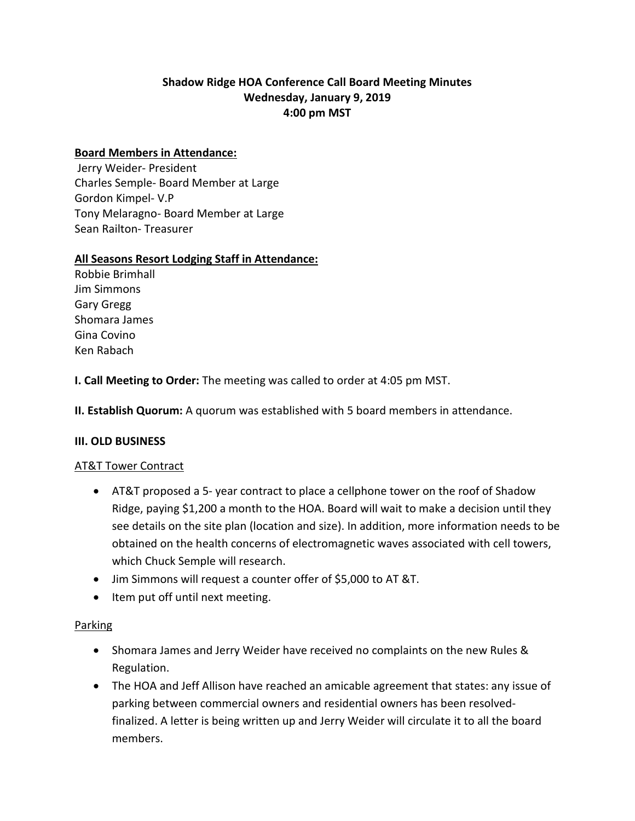# **Shadow Ridge HOA Conference Call Board Meeting Minutes Wednesday, January 9, 2019 4:00 pm MST**

#### **Board Members in Attendance:**

Jerry Weider- President Charles Semple- Board Member at Large Gordon Kimpel- V.P Tony Melaragno- Board Member at Large Sean Railton- Treasurer

### **All Seasons Resort Lodging Staff in Attendance:**

Robbie Brimhall Jim Simmons Gary Gregg Shomara James Gina Covino Ken Rabach

**I. Call Meeting to Order:** The meeting was called to order at 4:05 pm MST.

**II. Establish Quorum:** A quorum was established with 5 board members in attendance.

#### **III. OLD BUSINESS**

#### AT&T Tower Contract

- AT&T proposed a 5- year contract to place a cellphone tower on the roof of Shadow Ridge, paying \$1,200 a month to the HOA. Board will wait to make a decision until they see details on the site plan (location and size). In addition, more information needs to be obtained on the health concerns of electromagnetic waves associated with cell towers, which Chuck Semple will research.
- Jim Simmons will request a counter offer of \$5,000 to AT &T.
- Item put off until next meeting.

#### Parking

- Shomara James and Jerry Weider have received no complaints on the new Rules & Regulation.
- The HOA and Jeff Allison have reached an amicable agreement that states: any issue of parking between commercial owners and residential owners has been resolvedfinalized. A letter is being written up and Jerry Weider will circulate it to all the board members.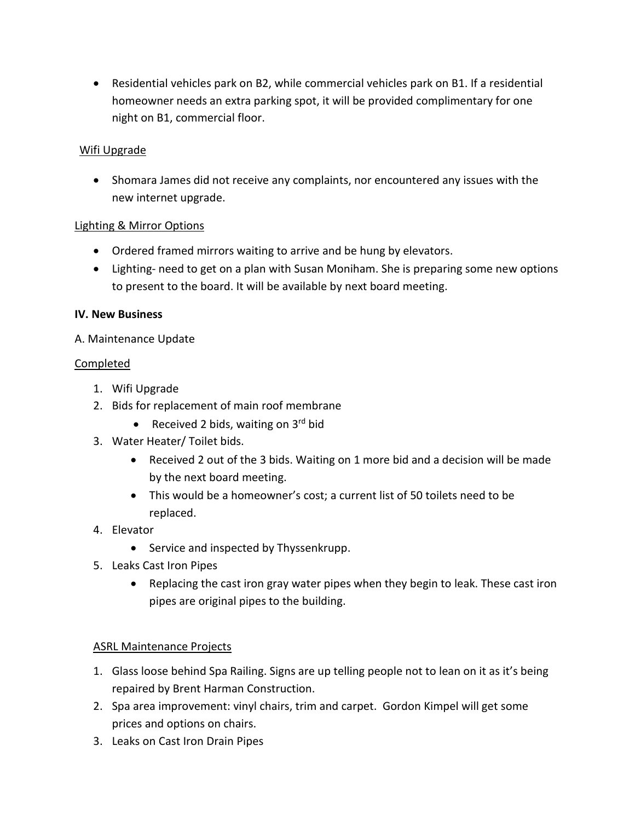• Residential vehicles park on B2, while commercial vehicles park on B1. If a residential homeowner needs an extra parking spot, it will be provided complimentary for one night on B1, commercial floor.

## Wifi Upgrade

• Shomara James did not receive any complaints, nor encountered any issues with the new internet upgrade.

## Lighting & Mirror Options

- Ordered framed mirrors waiting to arrive and be hung by elevators.
- Lighting- need to get on a plan with Susan Moniham. She is preparing some new options to present to the board. It will be available by next board meeting.

## **IV. New Business**

## A. Maintenance Update

## Completed

- 1. Wifi Upgrade
- 2. Bids for replacement of main roof membrane
	- Received 2 bids, waiting on  $3^{\text{rd}}$  bid
- 3. Water Heater/ Toilet bids.
	- Received 2 out of the 3 bids. Waiting on 1 more bid and a decision will be made by the next board meeting.
	- This would be a homeowner's cost; a current list of 50 toilets need to be replaced.
- 4. Elevator
	- Service and inspected by Thyssenkrupp.
- 5. Leaks Cast Iron Pipes
	- Replacing the cast iron gray water pipes when they begin to leak. These cast iron pipes are original pipes to the building.

## ASRL Maintenance Projects

- 1. Glass loose behind Spa Railing. Signs are up telling people not to lean on it as it's being repaired by Brent Harman Construction.
- 2. Spa area improvement: vinyl chairs, trim and carpet. Gordon Kimpel will get some prices and options on chairs.
- 3. Leaks on Cast Iron Drain Pipes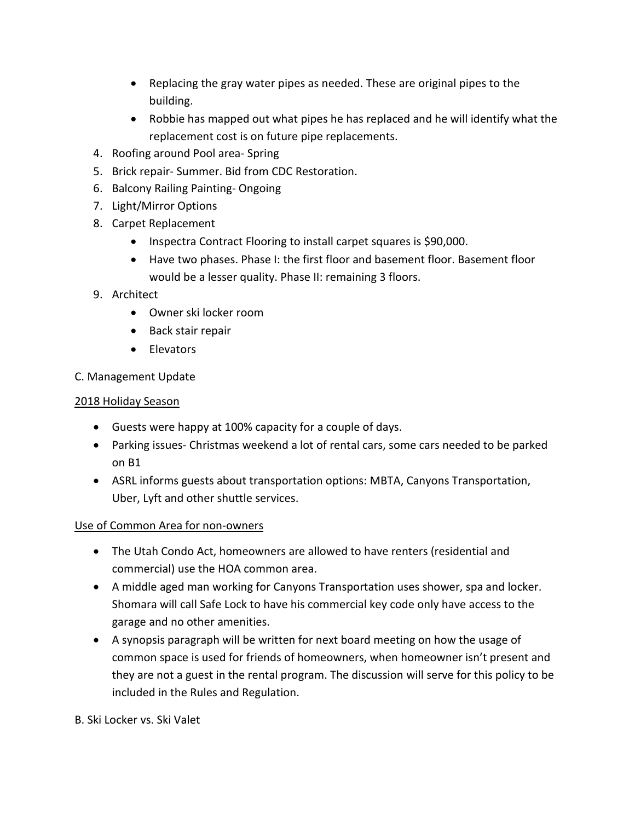- Replacing the gray water pipes as needed. These are original pipes to the building.
- Robbie has mapped out what pipes he has replaced and he will identify what the replacement cost is on future pipe replacements.
- 4. Roofing around Pool area- Spring
- 5. Brick repair- Summer. Bid from CDC Restoration.
- 6. Balcony Railing Painting- Ongoing
- 7. Light/Mirror Options
- 8. Carpet Replacement
	- Inspectra Contract Flooring to install carpet squares is \$90,000.
	- Have two phases. Phase I: the first floor and basement floor. Basement floor would be a lesser quality. Phase II: remaining 3 floors.
- 9. Architect
	- Owner ski locker room
	- Back stair repair
	- Elevators
- C. Management Update

### 2018 Holiday Season

- Guests were happy at 100% capacity for a couple of days.
- Parking issues- Christmas weekend a lot of rental cars, some cars needed to be parked on B1
- ASRL informs guests about transportation options: MBTA, Canyons Transportation, Uber, Lyft and other shuttle services.

## Use of Common Area for non-owners

- The Utah Condo Act, homeowners are allowed to have renters (residential and commercial) use the HOA common area.
- A middle aged man working for Canyons Transportation uses shower, spa and locker. Shomara will call Safe Lock to have his commercial key code only have access to the garage and no other amenities.
- A synopsis paragraph will be written for next board meeting on how the usage of common space is used for friends of homeowners, when homeowner isn't present and they are not a guest in the rental program. The discussion will serve for this policy to be included in the Rules and Regulation.

B. Ski Locker vs. Ski Valet